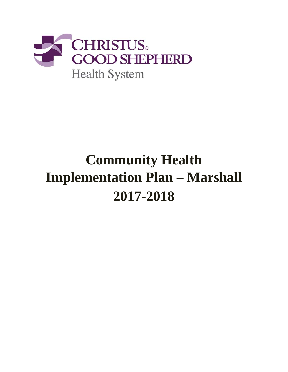

# **Community Health Implementation Plan – Marshall 2017-2018**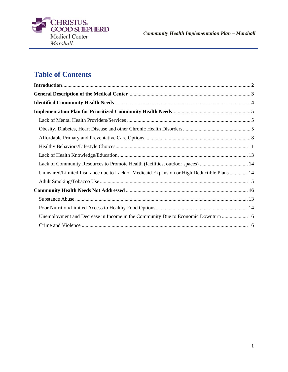

## **Table of Contents**

| Lack of Community Resources to Promote Health (facilities, outdoor spaces)  14             |  |
|--------------------------------------------------------------------------------------------|--|
| Uninsured/Limited Insurance due to Lack of Medicaid Expansion or High Deductible Plans  14 |  |
|                                                                                            |  |
|                                                                                            |  |
|                                                                                            |  |
|                                                                                            |  |
| Unemployment and Decrease in Income in the Community Due to Economic Downturn  16          |  |
|                                                                                            |  |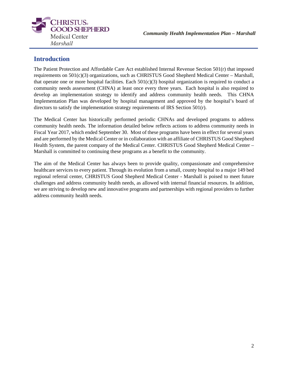

## **Introduction**

The Patient Protection and Affordable Care Act established Internal Revenue Section 501(r) that imposed requirements on 501(c)(3) organizations, such as CHRISTUS Good Shepherd Medical Center – Marshall, that operate one or more hospital facilities. Each  $501(c)(3)$  hospital organization is required to conduct a community needs assessment (CHNA) at least once every three years. Each hospital is also required to develop an implementation strategy to identify and address community health needs. This CHNA Implementation Plan was developed by hospital management and approved by the hospital's board of directors to satisfy the implementation strategy requirements of IRS Section 501(r).

The Medical Center has historically performed periodic CHNAs and developed programs to address community health needs. The information detailed below reflects actions to address community needs in Fiscal Year 2017, which ended September 30. Most of these programs have been in effect for several years and are performed by the Medical Center or in collaboration with an affiliate of CHRISTUS Good Shepherd Health System, the parent company of the Medical Center. CHRISTUS Good Shepherd Medical Center – Marshall is committed to continuing these programs as a benefit to the community.

The aim of the Medical Center has always been to provide quality, compassionate and comprehensive healthcare services to every patient. Through its evolution from a small, county hospital to a major 149 bed regional referral center, CHRISTUS Good Shepherd Medical Center - Marshall is poised to meet future challenges and address community health needs, as allowed with internal financial resources. In addition, we are striving to develop new and innovative programs and partnerships with regional providers to further address community health needs.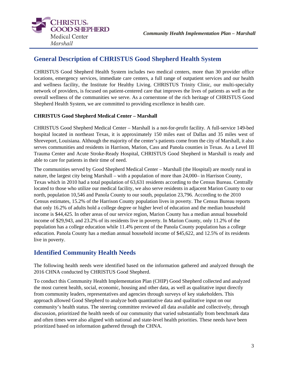

## **General Description of CHRISTUS Good Shepherd Health System**

CHRISTUS Good Shepherd Health System includes two medical centers, more than 30 provider office locations, emergency services, immediate care centers, a full range of outpatient services and our health and wellness facility, the Institute for Healthy Living. CHRISTUS Trinity Clinic, our multi-specialty network of providers, is focused on patient-centered care that improves the lives of patients as well as the overall wellness of the communities we serve. As a cornerstone of the rich heritage of CHRISTUS Good Shepherd Health System, we are committed to providing excellence in health care.

#### **CHRISTUS Good Shepherd Medical Center – Marshall**

CHRISTUS Good Shepherd Medical Center – Marshall is a not-for-profit facility. A full-service 149-bed hospital located in northeast Texas, it is approximately 150 miles east of Dallas and 35 miles west of Shreveport, Louisiana. Although the majority of the center's patients come from the city of Marshall, it also serves communities and residents in Harrison, Marion, Cass and Panola counties in Texas. As a Level III Trauma Center and Acute Stroke-Ready Hospital, CHRISTUS Good Shepherd in Marshall is ready and able to care for patients in their time of need.

The communities served by Good Shepherd Medical Center – Marshall (the Hospital) are mostly rural in nature, the largest city being Marshall – with a population of more than 24,000– in Harrison County, Texas which in 2010 had a total population of 63,631 residents according to the Census Bureau. Centrally located to those who utilize our medical facility, we also serve residents in adjacent Marion County to our north, population 10,546 and Panola County to our south, population 23,796. According to the 2010 Census estimates, 15.2% of the Harrison County population lives in poverty. The Census Bureau reports that only 16.2% of adults hold a college degree or higher level of education and the median household income is \$44,425. In other areas of our service region, Marion County has a median annual household income of \$29,943, and 23.2% of its residents live in poverty. In Marion County, only 11.2% of the population has a college education while 11.4% percent of the Panola County population has a college education. Panola County has a median annual household income of \$45,622, and 12.5% of its residents live in poverty.

## **Identified Community Health Needs**

The following health needs were identified based on the information gathered and analyzed through the 2016 CHNA conducted by CHRISTUS Good Shepherd.

To conduct this Community Health Implementation Plan (CHIP) Good Shepherd collected and analyzed the most current health, social, economic, housing and other data, as well as qualitative input directly from community leaders, representatives and agencies through surveys of key stakeholders. This approach allowed Good Shepherd to analyze both quantitative data and qualitative input on our community's health status. The steering committee reviewed all data available and collectively, through discussion, prioritized the health needs of our community that varied substantially from benchmark data and often times were also aligned with national and state-level health priorities. These needs have been prioritized based on information gathered through the CHNA.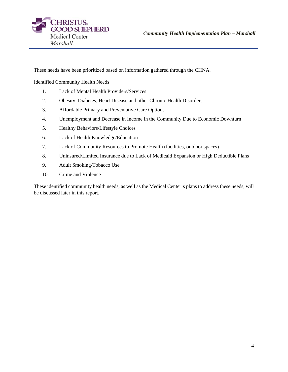

These needs have been prioritized based on information gathered through the CHNA.

Identified Community Health Needs

- 1. Lack of Mental Health Providers/Services
- 2. Obesity, Diabetes, Heart Disease and other Chronic Health Disorders
- 3. Affordable Primary and Preventative Care Options
- 4. Unemployment and Decrease in Income in the Community Due to Economic Downturn
- 5. Healthy Behaviors/Lifestyle Choices
- 6. Lack of Health Knowledge/Education
- 7. Lack of Community Resources to Promote Health (facilities, outdoor spaces)
- 8. Uninsured/Limited Insurance due to Lack of Medicaid Expansion or High Deductible Plans
- 9. Adult Smoking/Tobacco Use
- 10. Crime and Violence

These identified community health needs, as well as the Medical Center's plans to address these needs, will be discussed later in this report.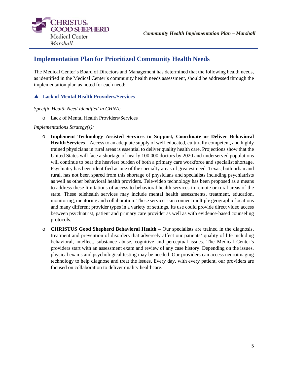



## **Implementation Plan for Prioritized Community Health Needs**

The Medical Center's Board of Directors and Management has determined that the following health needs, as identified in the Medical Center's community health needs assessment, should be addressed through the implementation plan as noted for each need:

### **Lack of Mental Health Providers/Services**

*Specific Health Need Identified in CHNA:* 

o Lack of Mental Health Providers/Services

#### *Implementations Strategy(s):*

- o **Implement Technology Assisted Services to Support, Coordinate or Deliver Behavioral Health Services** – Access to an adequate supply of well-educated, culturally competent, and highly trained physicians in rural areas is essential to deliver quality health care. Projections show that the United States will face a shortage of nearly 100,000 doctors by 2020 and underserved populations will continue to bear the heaviest burden of both a primary care workforce and specialist shortage. Psychiatry has been identified as one of the specialty areas of greatest need. Texas, both urban and rural, has not been spared from this shortage of physicians and specialists including psychiatrists as well as other behavioral health providers. Tele-video technology has been proposed as a means to address these limitations of access to behavioral health services in remote or rural areas of the state. These telehealth services may include mental health assessments, treatment, education, monitoring, mentoring and collaboration. These services can connect multiple geographic locations and many different provider types in a variety of settings. Its use could provide direct video access between psychiatrist, patient and primary care provider as well as with evidence-based counseling protocols.
- o **CHRISTUS Good Shepherd Behavioral Health** Our specialists are trained in the diagnosis, treatment and prevention of disorders that adversely affect our patients' quality of life including behavioral, intellect, substance abuse, cognitive and perceptual issues. The Medical Center's providers start with an assessment exam and review of any case history. Depending on the issues, physical exams and psychological testing may be needed. Our providers can access neuroimaging technology to help diagnose and treat the issues. Every day, with every patient, our providers are focused on collaboration to deliver quality healthcare.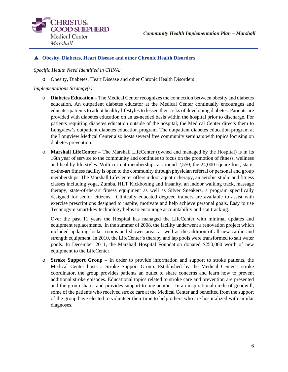

#### **Obesity, Diabetes, Heart Disease and other Chronic Health Disorders**

*Specific Health Need Identified in CHNA:* 

o Obesity, Diabetes, Heart Disease and other Chronic Health Disorders

*Implementations Strategy(s):* 

- o **Diabetes Education** The Medical Center recognizes the connection between obesity and diabetes education. An outpatient diabetes educator at the Medical Center continually encourages and educates patients to adopt healthy lifestyles to lessen their risks of developing diabetes. Patients are provided with diabetes education on an as-needed basis within the hospital prior to discharge. For patients requiring diabetes education outside of the hospital, the Medical Center directs them to Longview's outpatient diabetes education program. The outpatient diabetes education program at the Longview Medical Center also hosts several free community seminars with topics focusing on diabetes prevention.
- o **Marshall LifeCenter**  The Marshall LifeCenter (owned and managed by the Hospital) is in its 16th year of service to the community and continues to focus on the promotion of fitness, wellness and healthy life styles. With current memberships at around 2,550, the 24,000 square foot, stateof-the-art fitness facility is open to the community through physician referral or personal and group memberships. The Marshall LifeCenter offers indoor aquatic therapy, an aerobic studio and fitness classes including yoga, Zumba, HIIT Kickboxing and Insanity, an indoor walking track, massage therapy, state-of-the-art fitness equipment as well as Silver Sneakers, a program specifically designed for senior citizens. Clinically educated degreed trainers are available to assist with exercise prescriptions designed to inspire, motivate and help achieve personal goals. Easy to use Technogym smart-key technology helps to encourage accountability and stat tracking.

Over the past 11 years the Hospital has managed the LifeCenter with minimal updates and equipment replacements. In the summer of 2008, the facility underwent a renovation project which included updating locker rooms and shower areas as well as the addition of all new cardio and strength equipment. In 2010, the LifeCenter's therapy and lap pools were transformed to salt water pools. In December 2011, the Marshall Hospital Foundation donated \$250,000 worth of new equipment to the LifeCenter.

o **Stroke Support Group** – In order to provide information and support to stroke patients, the Medical Center hosts a Stroke Support Group. Established by the Medical Center's stroke coordinator, the group provides patients an outlet to share concerns and learn how to prevent additional stroke episodes. Educational topics related to stroke care and prevention are presented and the group shares and provides support to one another. In an inspirational circle of goodwill, some of the patients who received stroke care at the Medical Center and benefited from the support of the group have elected to volunteer their time to help others who are hospitalized with similar diagnoses.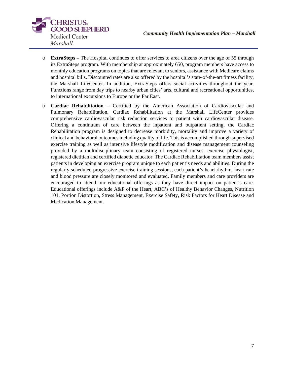

- o **ExtraSteps** The Hospital continues to offer services to area citizens over the age of 55 through its ExtraSteps program. With membership at approximately 650, program members have access to monthly education programs on topics that are relevant to seniors, assistance with Medicare claims and hospital bills. Discounted rates are also offered by the hospital's state-of-the-art fitness facility, the Marshall LifeCenter. In addition, ExtraSteps offers social activities throughout the year. Functions range from day trips to nearby urban cities' arts, cultural and recreational opportunities, to international excursions to Europe or the Far East.
- o **Cardiac Rehabilitation** Certified by the American Association of Cardiovascular and Pulmonary Rehabilitation, Cardiac Rehabilitation at the Marshall LifeCenter provides comprehensive cardiovascular risk reduction services to patient with cardiovascular disease. Offering a continuum of care between the inpatient and outpatient setting, the Cardiac Rehabilitation program is designed to decrease morbidity, mortality and improve a variety of clinical and behavioral outcomes including quality of life. This is accomplished through supervised exercise training as well as intensive lifestyle modification and disease management counseling provided by a multidisciplinary team consisting of registered nurses, exercise physiologist, registered dietitian and certified diabetic educator. The Cardiac Rehabilitation team members assist patients in developing an exercise program unique to each patient's needs and abilities. During the regularly scheduled progressive exercise training sessions, each patient's heart rhythm, heart rate and blood pressure are closely monitored and evaluated. Family members and care providers are encouraged to attend our educational offerings as they have direct impact on patient's care. Educational offerings include A&P of the Heart, ABC's of Healthy Behavior Changes, Nutrition 101, Portion Distortion, Stress Management, Exercise Safety, Risk Factors for Heart Disease and Medication Management.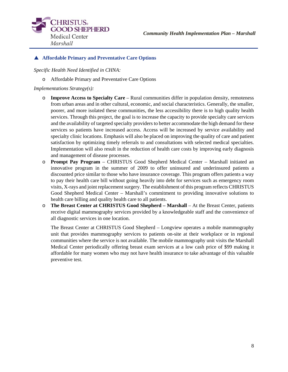

#### **Affordable Primary and Preventative Care Options**

*Specific Health Need Identified in CHNA:* 

o Affordable Primary and Preventative Care Options

#### *Implementations Strategy(s):*

- o **Improve Access to Specialty Care** Rural communities differ in population density, remoteness from urban areas and in other cultural, economic, and social characteristics. Generally, the smaller, poorer, and more isolated these communities, the less accessibility there is to high quality health services. Through this project, the goal is to increase the capacity to provide specialty care services and the availability of targeted specialty providers to better accommodate the high demand for these services so patients have increased access. Access will be increased by service availability and specialty clinic locations. Emphasis will also be placed on improving the quality of care and patient satisfaction by optimizing timely referrals to and consultations with selected medical specialties. Implementation will also result in the reduction of health care costs by improving early diagnosis and management of disease processes.
- o **Prompt Pay Program** CHRISTUS Good Shepherd Medical Center Marshall initiated an innovative program in the summer of 2009 to offer uninsured and underinsured patients a discounted price similar to those who have insurance coverage. This program offers patients a way to pay their health care bill without going heavily into debt for services such as emergency room visits, X-rays and joint replacement surgery. The establishment of this program reflects CHRISTUS Good Shepherd Medical Center – Marshall's commitment to providing innovative solutions to health care billing and quality health care to all patients.
- o **The Breast Center at CHRISTUS Good Shepherd Marshall** At the Breast Center, patients receive digital mammography services provided by a knowledgeable staff and the convenience of all diagnostic services in one location.

The Breast Center at CHRISTUS Good Shepherd – Longview operates a mobile mammography unit that provides mammography services to patients on-site at their workplace or in regional communities where the service is not available. The mobile mammography unit visits the Marshall Medical Center periodically offering breast exam services at a low cash price of \$99 making it affordable for many women who may not have health insurance to take advantage of this valuable preventive test.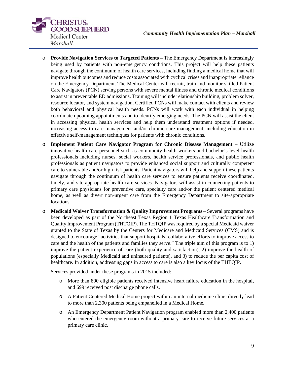

- o **Provide Navigation Services to Targeted Patients** The Emergency Department is increasingly being used by patients with non-emergency conditions. This project will help these patients navigate through the continuum of health care services, including finding a medical home that will improve health outcomes and reduce costs associated with cyclical crises and inappropriate reliance on the Emergency Department. The Medical Center will recruit, train and monitor skilled Patient Care Navigators (PCN) serving persons with severe mental illness and chronic medical conditions to assist in preventable ED admissions. Training will include relationship building, problem solver, resource locator, and system navigation. Certified PCNs will make contact with clients and review both behavioral and physical health needs. PCNs will work with each individual in helping coordinate upcoming appointments and to identify emerging needs. The PCN will assist the client in accessing physical health services and help them understand treatment options if needed, increasing access to care management and/or chronic care management, including education in effective self-management techniques for patients with chronic conditions.
- o **Implement Patient Care Navigator Program for Chronic Disease Management** Utilize innovative health care personnel such as community health workers and bachelor's level health professionals including nurses, social workers, health service professionals, and public health professionals as patient navigators to provide enhanced social support and culturally competent care to vulnerable and/or high risk patients. Patient navigators will help and support these patients navigate through the continuum of health care services to ensure patients receive coordinated, timely, and site-appropriate health care services. Navigators will assist in connecting patients to primary care physicians for preventive care, specialty care and/or the patient centered medical home, as well as divert non-urgent care from the Emergency Department to site-appropriate locations.
- o **Medicaid Waiver Transformation & Quality Improvement Programs** Several programs have been developed as part of the Northeast Texas Region 1 Texas Healthcare Transformation and Quality Improvement Program (THTQIP). The THTQIP was required by a special Medicaid waiver granted to the State of Texas by the Centers for Medicare and Medicaid Services (CMS) and is designed to encourage "activities that support hospitals' collaborative efforts to improve access to care and the health of the patients and families they serve." The triple aim of this program is to 1) improve the patient experience of care (both quality and satisfaction), 2) improve the health of populations (especially Medicaid and uninsured patients), and 3) to reduce the per capita cost of healthcare. In addition, addressing gaps in access to care is also a key focus of the THTQIP.

Services provided under these programs in 2015 included:

- o More than 800 eligible patients received intensive heart failure education in the hospital, and 699 received post discharge phone calls.
- o A Patient Centered Medical Home project within an internal medicine clinic directly lead to more than 2,300 patients being empanelled in a Medical Home.
- o An Emergency Department Patient Navigation program enabled more than 2,400 patients who entered the emergency room without a primary care to receive future services at a primary care clinic.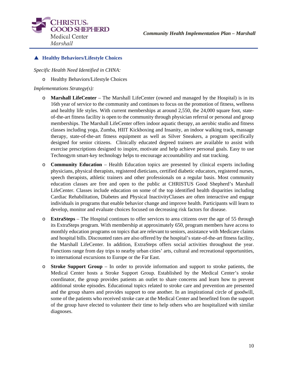

#### **Healthy Behaviors/Lifestyle Choices**

*Specific Health Need Identified in CHNA:* 

o Healthy Behaviors/Lifestyle Choices

#### *Implementations Strategy(s):*

- o **Marshall LifeCenter**  The Marshall LifeCenter (owned and managed by the Hospital) is in its 16th year of service to the community and continues to focus on the promotion of fitness, wellness and healthy life styles. With current memberships at around 2,550, the 24,000 square foot, stateof-the-art fitness facility is open to the community through physician referral or personal and group memberships. The Marshall LifeCenter offers indoor aquatic therapy, an aerobic studio and fitness classes including yoga, Zumba, HIIT Kickboxing and Insanity, an indoor walking track, massage therapy, state-of-the-art fitness equipment as well as Silver Sneakers, a program specifically designed for senior citizens. Clinically educated degreed trainers are available to assist with exercise prescriptions designed to inspire, motivate and help achieve personal goals. Easy to use Technogym smart-key technology helps to encourage accountability and stat tracking.
- o **Community Education** Health Education topics are presented by clinical experts including physicians, physical therapists, registered dieticians, certified diabetic educators, registered nurses, speech therapists, athletic trainers and other professionals on a regular basis. Most community education classes are free and open to the public at CHRISTUS Good Shepherd's Marshall LifeCenter. Classes include education on some of the top identified health disparities including Cardiac Rehabilitation, Diabetes and Physical InactivityClasses are often interactive and engage individuals in programs that enable behavior change and improve health. Participants will learn to develop, monitor and evaluate choices focused on decreasing risk factors for disease.
- o **ExtraSteps** The Hospital continues to offer services to area citizens over the age of 55 through its ExtraSteps program. With membership at approximately 650, program members have access to monthly education programs on topics that are relevant to seniors, assistance with Medicare claims and hospital bills. Discounted rates are also offered by the hospital's state-of-the-art fitness facility, the Marshall LifeCenter. In addition, ExtraSteps offers social activities throughout the year. Functions range from day trips to nearby urban cities' arts, cultural and recreational opportunities, to international excursions to Europe or the Far East.
- o **Stroke Support Group** In order to provide information and support to stroke patients, the Medical Center hosts a Stroke Support Group. Established by the Medical Center's stroke coordinator, the group provides patients an outlet to share concerns and learn how to prevent additional stroke episodes. Educational topics related to stroke care and prevention are presented and the group shares and provides support to one another. In an inspirational circle of goodwill, some of the patients who received stroke care at the Medical Center and benefited from the support of the group have elected to volunteer their time to help others who are hospitalized with similar diagnoses.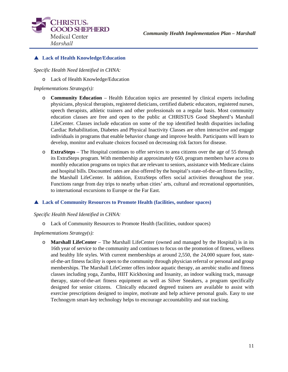

#### **Lack of Health Knowledge/Education**

*Specific Health Need Identified in CHNA:* 

o Lack of Health Knowledge/Education

#### *Implementations Strategy(s):*

- o **Community Education** Health Education topics are presented by clinical experts including physicians, physical therapists, registered dieticians, certified diabetic educators, registered nurses, speech therapists, athletic trainers and other professionals on a regular basis. Most community education classes are free and open to the public at CHRISTUS Good Shepherd's Marshall LifeCenter. Classes include education on some of the top identified health disparities including Cardiac Rehabilitation, Diabetes and Physical Inactivity Classes are often interactive and engage individuals in programs that enable behavior change and improve health. Participants will learn to develop, monitor and evaluate choices focused on decreasing risk factors for disease.
- o **ExtraSteps** The Hospital continues to offer services to area citizens over the age of 55 through its ExtraSteps program. With membership at approximately 650, program members have access to monthly education programs on topics that are relevant to seniors, assistance with Medicare claims and hospital bills. Discounted rates are also offered by the hospital's state-of-the-art fitness facility, the Marshall LifeCenter. In addition, ExtraSteps offers social activities throughout the year. Functions range from day trips to nearby urban cities' arts, cultural and recreational opportunities, to international excursions to Europe or the Far East.

#### **Lack of Community Resources to Promote Health (facilities, outdoor spaces)**

#### *Specific Health Need Identified in CHNA:*

o Lack of Community Resources to Promote Health (facilities, outdoor spaces)

#### *Implementations Strategy(s):*

o **Marshall LifeCenter** – The Marshall LifeCenter (owned and managed by the Hospital) is in its 16th year of service to the community and continues to focus on the promotion of fitness, wellness and healthy life styles. With current memberships at around 2,550, the 24,000 square foot, stateof-the-art fitness facility is open to the community through physician referral or personal and group memberships. The Marshall LifeCenter offers indoor aquatic therapy, an aerobic studio and fitness classes including yoga, Zumba, HIIT Kickboxing and Insanity, an indoor walking track, massage therapy, state-of-the-art fitness equipment as well as Silver Sneakers, a program specifically designed for senior citizens. Clinically educated degreed trainers are available to assist with exercise prescriptions designed to inspire, motivate and help achieve personal goals. Easy to use Technogym smart-key technology helps to encourage accountability and stat tracking.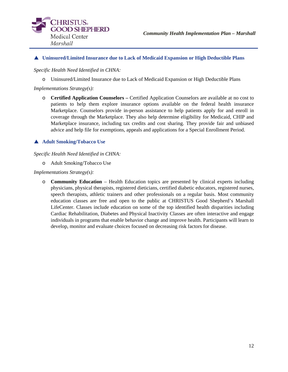

#### **Uninsured/Limited Insurance due to Lack of Medicaid Expansion or High Deductible Plans**

*Specific Health Need Identified in CHNA:* 

o Uninsured/Limited Insurance due to Lack of Medicaid Expansion or High Deductible Plans

*Implementations Strategy(s):* 

o **Certified Application Counselors –** Certified Application Counselors are available at no cost to patients to help them explore insurance options available on the federal health insurance Marketplace. Counselors provide in-person assistance to help patients apply for and enroll in coverage through the Marketplace. They also help determine eligibility for Medicaid, CHIP and Marketplace insurance, including tax credits and cost sharing. They provide fair and unbiased advice and help file for exemptions, appeals and applications for a Special Enrollment Period.

#### **Adult Smoking/Tobacco Use**

#### *Specific Health Need Identified in CHNA:*

o Adult Smoking/Tobacco Use

*Implementations Strategy(s):* 

o **Community Education** – Health Education topics are presented by clinical experts including physicians, physical therapists, registered dieticians, certified diabetic educators, registered nurses, speech therapists, athletic trainers and other professionals on a regular basis. Most community education classes are free and open to the public at CHRISTUS Good Shepherd's Marshall LifeCenter. Classes include education on some of the top identified health disparities including Cardiac Rehabilitation, Diabetes and Physical Inactivity Classes are often interactive and engage individuals in programs that enable behavior change and improve health. Participants will learn to develop, monitor and evaluate choices focused on decreasing risk factors for disease.